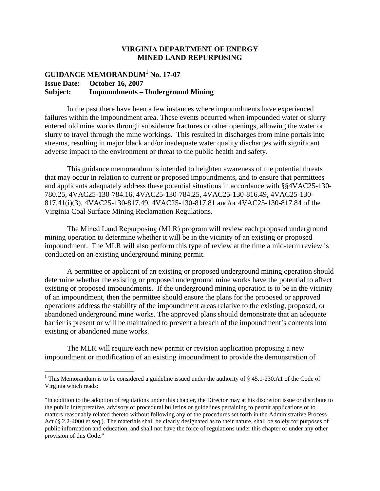## **VIRGINIA DEPARTMENT OF ENERGY MINED LAND REPURPOSING**

## **GUIDANCE MEMORANDUM<sup>1</sup> No. 17-07 Issue Date: October 16, 2007 Subject: Impoundments – Underground Mining**

In the past there have been a few instances where impoundments have experienced failures within the impoundment area. These events occurred when impounded water or slurry entered old mine works through subsidence fractures or other openings, allowing the water or slurry to travel through the mine workings. This resulted in discharges from mine portals into streams, resulting in major black and/or inadequate water quality discharges with significant adverse impact to the environment or threat to the public health and safety.

This guidance memorandum is intended to heighten awareness of the potential threats that may occur in relation to current or proposed impoundments, and to ensure that permittees and applicants adequately address these potential situations in accordance with §§4VAC25-130- 780.25, 4VAC25-130-784.16, 4VAC25-130-784.25, 4VAC25-130-816.49, 4VAC25-130- 817.41(i)(3), 4VAC25-130-817.49, 4VAC25-130-817.81 and/or 4VAC25-130-817.84 of the Virginia Coal Surface Mining Reclamation Regulations.

The Mined Land Repurposing (MLR) program will review each proposed underground mining operation to determine whether it will be in the vicinity of an existing or proposed impoundment. The MLR will also perform this type of review at the time a mid-term review is conducted on an existing underground mining permit.

A permittee or applicant of an existing or proposed underground mining operation should determine whether the existing or proposed underground mine works have the potential to affect existing or proposed impoundments. If the underground mining operation is to be in the vicinity of an impoundment, then the permittee should ensure the plans for the proposed or approved operations address the stability of the impoundment areas relative to the existing, proposed, or abandoned underground mine works. The approved plans should demonstrate that an adequate barrier is present or will be maintained to prevent a breach of the impoundment's contents into existing or abandoned mine works.

The MLR will require each new permit or revision application proposing a new impoundment or modification of an existing impoundment to provide the demonstration of

<sup>&</sup>lt;sup>1</sup> This Memorandum is to be considered a guideline issued under the authority of § 45.1-230.A1 of the Code of Virginia which reads:

<sup>&</sup>quot;In addition to the adoption of regulations under this chapter, the Director may at his discretion issue or distribute to the public interpretative, advisory or procedural bulletins or guidelines pertaining to permit applications or to matters reasonably related thereto without following any of the procedures set forth in the Administrative Process Act (§ 2.2-4000 et seq.). The materials shall be clearly designated as to their nature, shall be solely for purposes of public information and education, and shall not have the force of regulations under this chapter or under any other provision of this Code."